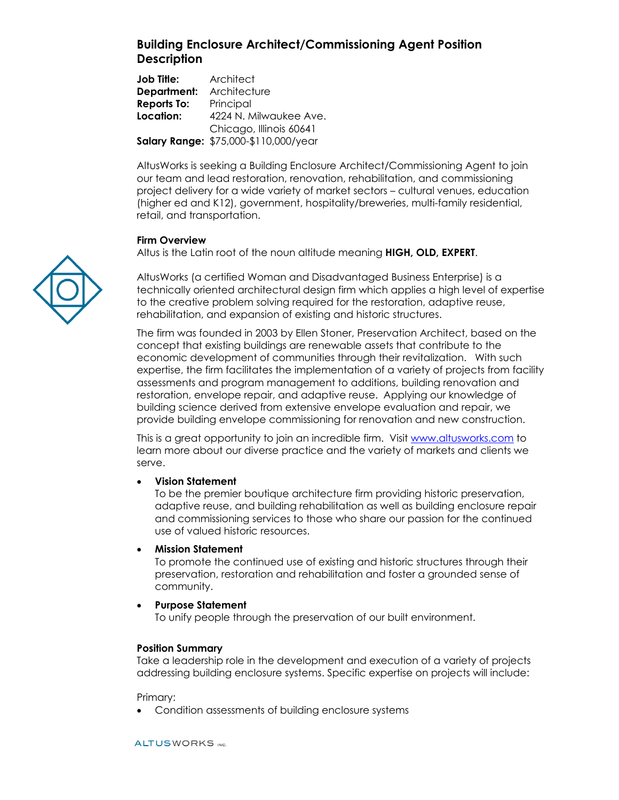# **Building Enclosure Architect/Commissioning Agent Position Description**

**Job Title:** Architect **Department:** Architecture **Reports To:** Principal **Location:** 4224 N. Milwaukee Ave. Chicago, Illinois 60641 **Salary Range:** \$75,000-\$110,000/year

AltusWorks is seeking a Building Enclosure Architect/Commissioning Agent to join our team and lead restoration, renovation, rehabilitation, and commissioning project delivery for a wide variety of market sectors – cultural venues, education (higher ed and K12), government, hospitality/breweries, multi-family residential, retail, and transportation.

#### **Firm Overview**

Altus is the Latin root of the noun altitude meaning **HIGH, OLD, EXPERT**.

AltusWorks (a certified Woman and Disadvantaged Business Enterprise) is a technically oriented architectural design firm which applies a high level of expertise to the creative problem solving required for the restoration, adaptive reuse, rehabilitation, and expansion of existing and historic structures.

The firm was founded in 2003 by Ellen Stoner, Preservation Architect, based on the concept that existing buildings are renewable assets that contribute to the economic development of communities through their revitalization. With such expertise, the firm facilitates the implementation of a variety of projects from facility assessments and program management to additions, building renovation and restoration, envelope repair, and adaptive reuse. Applying our knowledge of building science derived from extensive envelope evaluation and repair, we provide building envelope commissioning for renovation and new construction.

This is a great opportunity to join an incredible firm. Visit [www.altusworks.com](http://www.altusworks.com/) to learn more about our diverse practice and the variety of markets and clients we serve.

#### • **Vision Statement**

To be the premier boutique architecture firm providing historic preservation, adaptive reuse, and building rehabilitation as well as building enclosure repair and commissioning services to those who share our passion for the continued use of valued historic resources.

#### • **Mission Statement**

To promote the continued use of existing and historic structures through their preservation, restoration and rehabilitation and foster a grounded sense of community.

#### • **Purpose Statement**

To unify people through the preservation of our built environment.

## **Position Summary**

Take a leadership role in the development and execution of a variety of projects addressing building enclosure systems. Specific expertise on projects will include:

Primary:

• Condition assessments of building enclosure systems

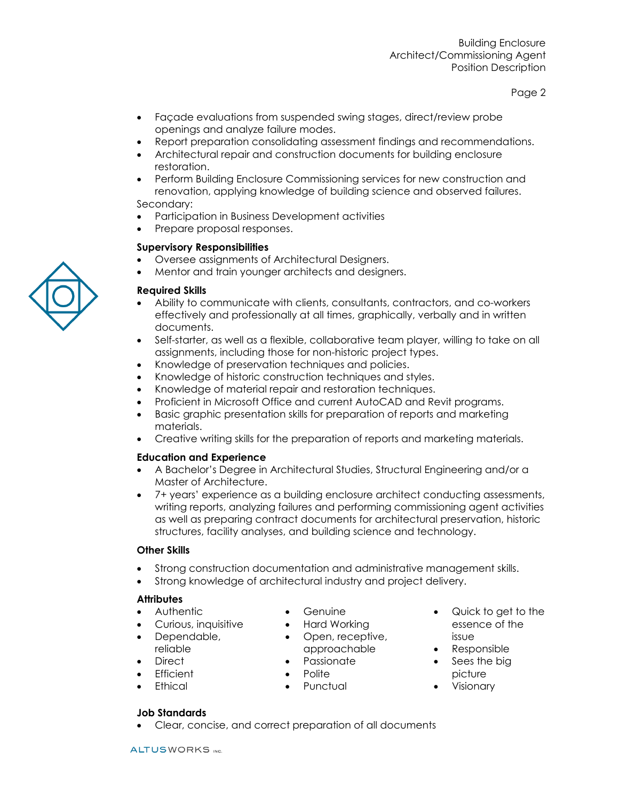Page 2

- Façade evaluations from suspended swing stages, direct/review probe openings and analyze failure modes.
- Report preparation consolidating assessment findings and recommendations.
- Architectural repair and construction documents for building enclosure restoration.
- Perform Building Enclosure Commissioning services for new construction and renovation, applying knowledge of building science and observed failures. Secondary:
- Participation in Business Development activities
- Prepare proposal responses.

## **Supervisory Responsibilities**

- Oversee assignments of Architectural Designers.
- Mentor and train younger architects and designers.

## **Required Skills**

- Ability to communicate with clients, consultants, contractors, and co-workers effectively and professionally at all times, graphically, verbally and in written documents.
- Self-starter, as well as a flexible, collaborative team player, willing to take on all assignments, including those for non-historic project types.
- Knowledge of preservation techniques and policies.
- Knowledge of historic construction techniques and styles.
- Knowledge of material repair and restoration techniques.
- Proficient in Microsoft Office and current AutoCAD and Revit programs.
- Basic graphic presentation skills for preparation of reports and marketing materials.
- Creative writing skills for the preparation of reports and marketing materials.

## **Education and Experience**

- A Bachelor's Degree in Architectural Studies, Structural Engineering and/or a Master of Architecture.
- 7+ years' experience as a building enclosure architect conducting assessments, writing reports, analyzing failures and performing commissioning agent activities as well as preparing contract documents for architectural preservation, historic structures, facility analyses, and building science and technology.

## **Other Skills**

- Strong construction documentation and administrative management skills.
- Strong knowledge of architectural industry and project delivery.

## **Attributes**

- Authentic
- Curious, inquisitive
- Dependable, reliable
- Direct
- **Efficient**
- Ethical
- **Genuine**
- Hard Working
- Open, receptive, approachable
- Passionate
- Polite

• Clear, concise, and correct preparation of all documents

• Punctual

- Quick to get to the essence of the issue
- Responsible
- Sees the big picture
- Visionary



**Job Standards**